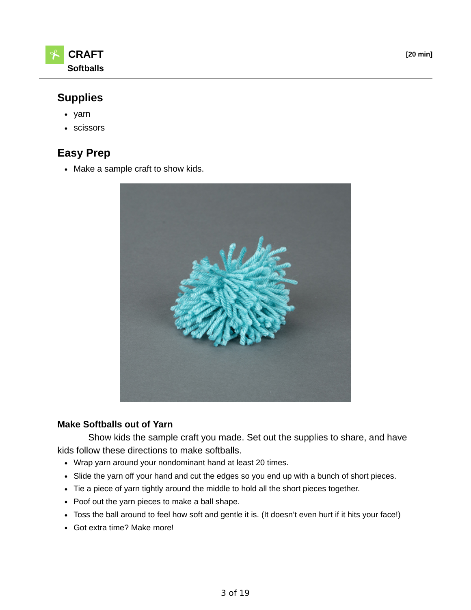



# **Supplies**

- yarn
- scissors

# **Easy Prep**

• Make a sample craft to show kids.



#### **Make Softballs out of Yarn**

 Show kids the sample craft you made. Set out the supplies to share, and have kids follow these directions to make softballs.

- Wrap yarn around your nondominant hand at least 20 times.
- Slide the yarn off your hand and cut the edges so you end up with a bunch of short pieces.
- Tie a piece of yarn tightly around the middle to hold all the short pieces together.
- Poof out the yarn pieces to make a ball shape.
- Toss the ball around to feel how soft and gentle it is. (It doesn't even hurt if it hits your face!)
- Got extra time? Make more!